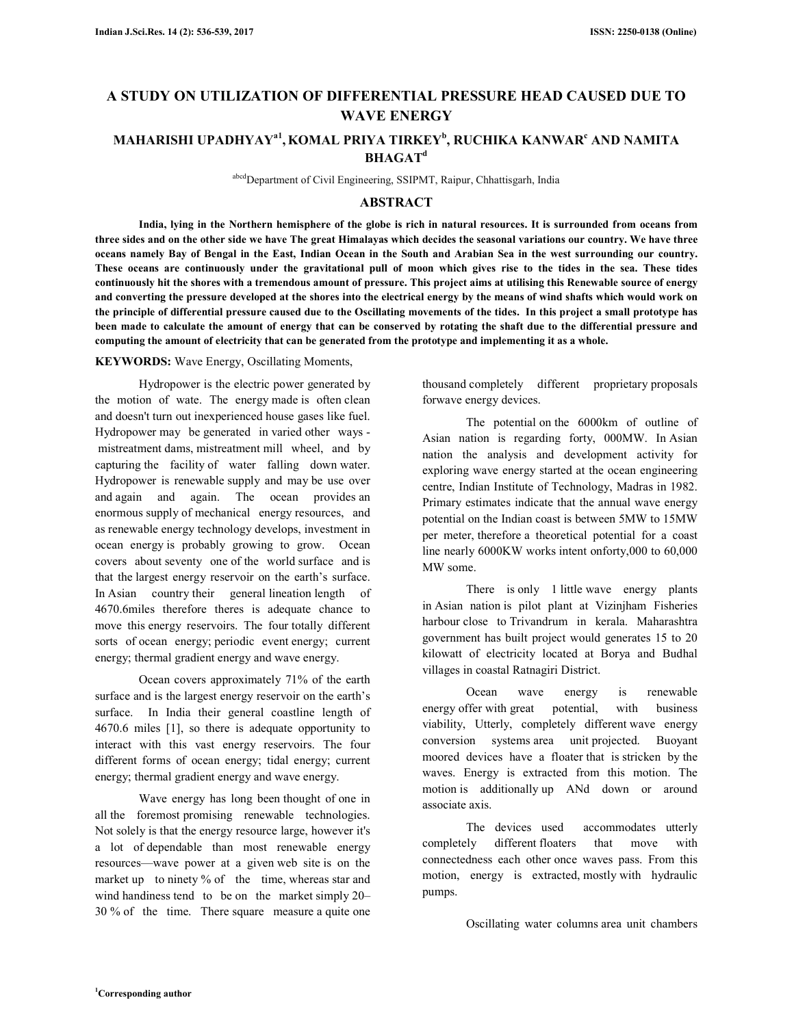# **A STUDY ON UTILIZATION OF DIFFERENTIAL PRESSURE HEAD CAUSED DUE TO WAVE ENERGY**

# **MAHARISHI UPADHYAYa1 ,KOMAL PRIYA TIRKEY<sup>b</sup> , RUCHIKA KANWAR<sup>c</sup> AND NAMITA BHAGAT<sup>d</sup>**

abcd Department of Civil Engineering, SSIPMT, Raipur, Chhattisgarh, India

# **ABSTRACT**

 **India, lying in the Northern hemisphere of the globe is rich in natural resources. It is surrounded from oceans from three sides and on the other side we have The great Himalayas which decides the seasonal variations our country. We have three oceans namely Bay of Bengal in the East, Indian Ocean in the South and Arabian Sea in the west surrounding our country. These oceans are continuously under the gravitational pull of moon which gives rise to the tides in the sea. These tides continuously hit the shores with a tremendous amount of pressure. This project aims at utilising this Renewable source of energy and converting the pressure developed at the shores into the electrical energy by the means of wind shafts which would work on the principle of differential pressure caused due to the Oscillating movements of the tides. In this project a small prototype has been made to calculate the amount of energy that can be conserved by rotating the shaft due to the differential pressure and computing the amount of electricity that can be generated from the prototype and implementing it as a whole.** 

#### **KEYWORDS:** Wave Energy, Oscillating Moments,

Hydropower is the electric power generated by the motion of wate. The energy made is often clean and doesn't turn out inexperienced house gases like fuel. Hydropower may be generated in varied other ways mistreatment dams, mistreatment mill wheel, and by capturing the facility of water falling down water. Hydropower is renewable supply and may be use over and again and again. The ocean provides an enormous supply of mechanical energy resources, and as renewable energy technology develops, investment in ocean energy is probably growing to grow. Ocean covers about seventy one of the world surface and is that the largest energy reservoir on the earth's surface. In Asian country their general lineation length of 4670.6miles therefore theres is adequate chance to move this energy reservoirs. The four totally different sorts of ocean energy; periodic event energy; current energy; thermal gradient energy and wave energy.

 Ocean covers approximately 71% of the earth surface and is the largest energy reservoir on the earth's surface. In India their general coastline length of 4670.6 miles [1], so there is adequate opportunity to interact with this vast energy reservoirs. The four different forms of ocean energy; tidal energy; current energy; thermal gradient energy and wave energy.

 Wave energy has long been thought of one in all the foremost promising renewable technologies. Not solely is that the energy resource large, however it's a lot of dependable than most renewable energy resources—wave power at a given web site is on the market up to ninety % of the time, whereas star and wind handiness tend to be on the market simply 20– 30 % of the time. There square measure a quite one

thousand completely different proprietary proposals forwave energy devices.

 The potential on the 6000km of outline of Asian nation is regarding forty, 000MW. In Asian nation the analysis and development activity for exploring wave energy started at the ocean engineering centre, Indian Institute of Technology, Madras in 1982. Primary estimates indicate that the annual wave energy potential on the Indian coast is between 5MW to 15MW per meter, therefore a theoretical potential for a coast line nearly 6000KW works intent onforty,000 to 60,000 MW some.

There is only 1 little wave energy plants in Asian nation is pilot plant at Vizinjham Fisheries harbour close to Trivandrum in kerala. Maharashtra government has built project would generates 15 to 20 kilowatt of electricity located at Borya and Budhal villages in coastal Ratnagiri District.

 Ocean wave energy is renewable energy offer with great potential, with business viability, Utterly, completely different wave energy conversion systems area unit projected. Buoyant moored devices have a floater that is stricken by the waves. Energy is extracted from this motion. The motion is additionally up ANd down or around associate axis.

 The devices used accommodates utterly completely different floaters that move with connectedness each other once waves pass. From this motion, energy is extracted, mostly with hydraulic pumps.

Oscillating water columns area unit chambers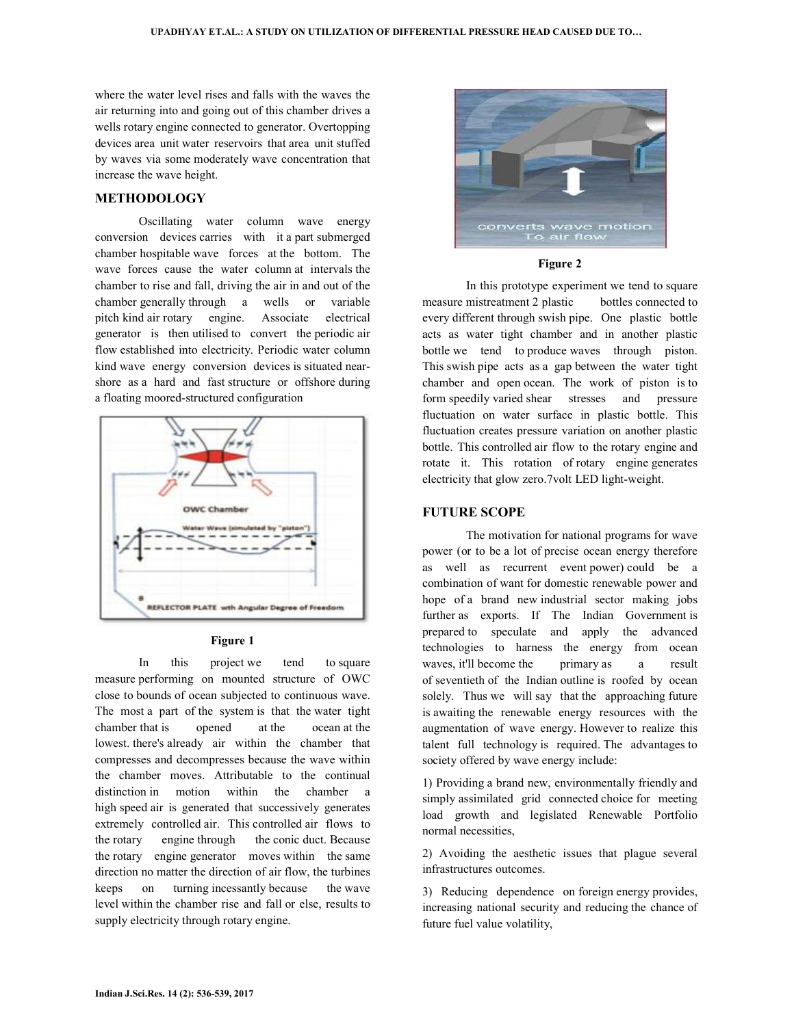where the water level rises and falls with the waves the air returning into and going out of this chamber drives a wells rotary engine connected to generator. Overtopping devices area unit water reservoirs that area unit stuffed by waves via some moderately wave concentration that increase the wave height.

# **METHODOLOGY**

 Oscillating water column wave energy conversion devices carries with it a part submerged chamber hospitable wave forces at the bottom. The wave forces cause the water column at intervals the chamber to rise and fall, driving the air in and out of the chamber generally through a wells or variable pitch kind air rotary engine. Associate electrical generator is then utilised to convert the periodic air flow established into electricity. Periodic water column kind wave energy conversion devices is situated nearshore as a hard and fast structure or offshore during a floating moored-structured configuration



#### **Figure 1**

 In this project we tend to square measure performing on mounted structure of OWC close to bounds of ocean subjected to continuous wave. The most a part of the system is that the water tight chamber that is opened at the ocean at the lowest. there's already air within the chamber that compresses and decompresses because the wave within the chamber moves. Attributable to the continual distinction in motion within the chamber a high speed air is generated that successively generates extremely controlled air. This controlled air flows to the rotary engine through the conic duct. Because the rotary engine generator moves within the same direction no matter the direction of air flow, the turbines keeps on turning incessantly because the wave level within the chamber rise and fall or else, results to supply electricity through rotary engine.



#### **Figure 2**

 In this prototype experiment we tend to square measure mistreatment 2 plastic bottles connected to every different through swish pipe. One plastic bottle acts as water tight chamber and in another plastic bottle we tend to produce waves through piston. This swish pipe acts as a gap between the water tight chamber and open ocean. The work of piston is to form speedily varied shear stresses and pressure fluctuation on water surface in plastic bottle. This fluctuation creates pressure variation on another plastic bottle. This controlled air flow to the rotary engine and rotate it. This rotation of rotary engine generates electricity that glow zero.7volt LED light-weight.

## **FUTURE SCOPE**

 The motivation for national programs for wave power (or to be a lot of precise ocean energy therefore as well as recurrent event power) could be a combination of want for domestic renewable power and hope of a brand new industrial sector making jobs further as exports. If The Indian Government is prepared to speculate and apply the advanced technologies to harness the energy from ocean waves, it'll become the primary as a result of seventieth of the Indian outline is roofed by ocean solely. Thus we will say that the approaching future is awaiting the renewable energy resources with the augmentation of wave energy. However to realize this talent full technology is required. The advantages to society offered by wave energy include:

1) Providing a brand new, environmentally friendly and simply assimilated grid connected choice for meeting load growth and legislated Renewable Portfolio normal necessities,

2) Avoiding the aesthetic issues that plague several infrastructures outcomes.

3) Reducing dependence on foreign energy provides, increasing national security and reducing the chance of future fuel value volatility,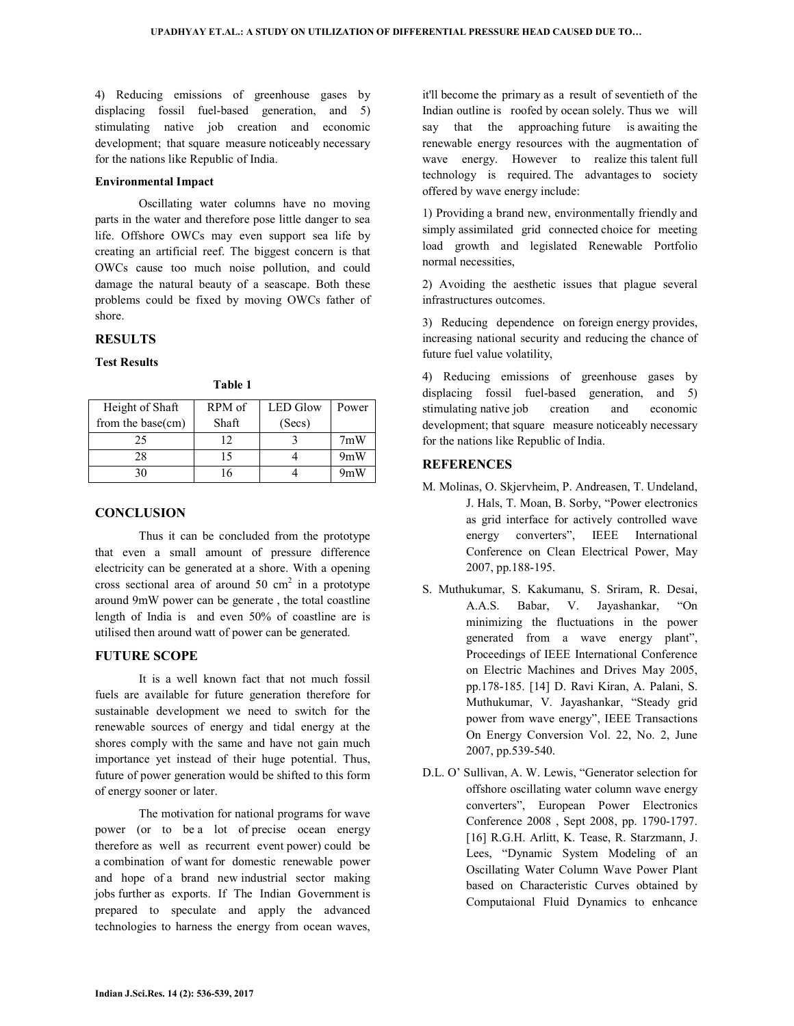4) Reducing emissions of greenhouse gases by displacing fossil fuel-based generation, and 5) stimulating native job creation and economic development; that square measure noticeably necessary for the nations like Republic of India.

#### **Environmental Impact**

 Oscillating water columns have no moving parts in the water and therefore pose little danger to sea life. Offshore OWCs may even support sea life by creating an artificial reef. The biggest concern is that OWCs cause too much noise pollution, and could damage the natural beauty of a seascape. Both these problems could be fixed by moving OWCs father of shore.

# **RESULTS**

#### **Test Results**

**Table 1** 

| Height of Shaft      | RPM of | <b>LED</b> Glow | Power |
|----------------------|--------|-----------------|-------|
| from the base $(cm)$ | Shaft  | (Secs)          |       |
| 25                   | 12     |                 | 7mW   |
| 28                   | 15     |                 | 9mW   |
| 30                   |        |                 | 9mW   |

## **CONCLUSION**

 Thus it can be concluded from the prototype that even a small amount of pressure difference electricity can be generated at a shore. With a opening cross sectional area of around  $50 \text{ cm}^2$  in a prototype around 9mW power can be generate , the total coastline length of India is and even 50% of coastline are is utilised then around watt of power can be generated.

## **FUTURE SCOPE**

 It is a well known fact that not much fossil fuels are available for future generation therefore for sustainable development we need to switch for the renewable sources of energy and tidal energy at the shores comply with the same and have not gain much importance yet instead of their huge potential. Thus, future of power generation would be shifted to this form of energy sooner or later.

 The motivation for national programs for wave power (or to be a lot of precise ocean energy therefore as well as recurrent event power) could be a combination of want for domestic renewable power and hope of a brand new industrial sector making jobs further as exports. If The Indian Government is prepared to speculate and apply the advanced technologies to harness the energy from ocean waves,

it'll become the primary as a result of seventieth of the Indian outline is roofed by ocean solely. Thus we will say that the approaching future is awaiting the renewable energy resources with the augmentation of wave energy. However to realize this talent full technology is required. The advantages to society offered by wave energy include:

1) Providing a brand new, environmentally friendly and simply assimilated grid connected choice for meeting load growth and legislated Renewable Portfolio normal necessities,

2) Avoiding the aesthetic issues that plague several infrastructures outcomes.

3) Reducing dependence on foreign energy provides, increasing national security and reducing the chance of future fuel value volatility,

4) Reducing emissions of greenhouse gases by displacing fossil fuel-based generation, and 5) stimulating native job creation and economic development; that square measure noticeably necessary for the nations like Republic of India.

# **REFERENCES**

- M. Molinas, O. Skjervheim, P. Andreasen, T. Undeland, J. Hals, T. Moan, B. Sorby, "Power electronics as grid interface for actively controlled wave energy converters", IEEE International Conference on Clean Electrical Power, May 2007, pp.188-195.
- S. Muthukumar, S. Kakumanu, S. Sriram, R. Desai, A.A.S. Babar, V. Jayashankar, "On minimizing the fluctuations in the power generated from a wave energy plant", Proceedings of IEEE International Conference on Electric Machines and Drives May 2005, pp.178-185. [14] D. Ravi Kiran, A. Palani, S. Muthukumar, V. Jayashankar, "Steady grid power from wave energy", IEEE Transactions On Energy Conversion Vol. 22, No. 2, June 2007, pp.539-540.
- D.L. O' Sullivan, A. W. Lewis, "Generator selection for offshore oscillating water column wave energy converters", European Power Electronics Conference 2008 , Sept 2008, pp. 1790-1797. [16] R.G.H. Arlitt, K. Tease, R. Starzmann, J. Lees, "Dynamic System Modeling of an Oscillating Water Column Wave Power Plant based on Characteristic Curves obtained by Computaional Fluid Dynamics to enhcance